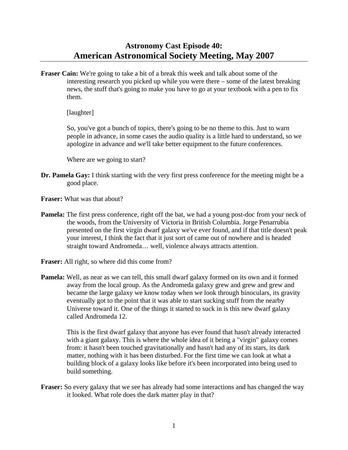## **Astronomy Cast Episode 40: American Astronomical Society Meeting, May 2007**

**Fraser Cain:** We're going to take a bit of a break this week and talk about some of the interesting research you picked up while you were there – some of the latest breaking news, the stuff that's going to make you have to go at your textbook with a pen to fix them.

[laughter]

 So, you've got a bunch of topics, there's going to be no theme to this. Just to warn people in advance, in some cases the audio quality is a little hard to understand, so we apologize in advance and we'll take better equipment to the future conferences.

Where are we going to start?

- **Dr. Pamela Gay:** I think starting with the very first press conference for the meeting might be a good place.
- **Fraser:** What was that about?
- **Pamela:** The first press conference, right off the bat, we had a young post-doc from your neck of the woods, from the University of Victoria in British Columbia. Jorge Penarrubia presented on the first virgin dwarf galaxy we've ever found, and if that title doesn't peak your interest, I think the fact that it just sort of came out of nowhere and is headed straight toward Andromeda… well, violence always attracts attention.
- **Fraser:** All right, so where did this come from?
- **Pamela:** Well, as near as we can tell, this small dwarf galaxy formed on its own and it formed away from the local group. As the Andromeda galaxy grew and grew and grew and became the large galaxy we know today when we look through binoculars, its gravity eventually got to the point that it was able to start sucking stuff from the nearby Universe toward it. One of the things it started to suck in is this new dwarf galaxy called Andromeda 12.

 This is the first dwarf galaxy that anyone has ever found that hasn't already interacted with a giant galaxy. This is where the whole idea of it being a "virgin" galaxy comes from: it hasn't been touched gravitationally and hasn't had any of its stars, its dark matter, nothing with it has been disturbed. For the first time we can look at what a building block of a galaxy looks like before it's been incorporated into being used to build something.

**Fraser:** So every galaxy that we see has already had some interactions and has changed the way it looked. What role does the dark matter play in that?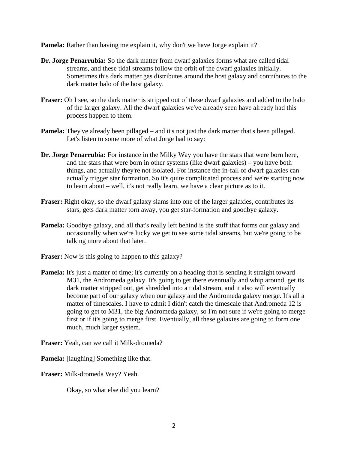**Pamela:** Rather than having me explain it, why don't we have Jorge explain it?

- **Dr. Jorge Penarrubia:** So the dark matter from dwarf galaxies forms what are called tidal streams, and these tidal streams follow the orbit of the dwarf galaxies initially. Sometimes this dark matter gas distributes around the host galaxy and contributes to the dark matter halo of the host galaxy.
- **Fraser:** Oh I see, so the dark matter is stripped out of these dwarf galaxies and added to the halo of the larger galaxy. All the dwarf galaxies we've already seen have already had this process happen to them.
- **Pamela:** They've already been pillaged and it's not just the dark matter that's been pillaged. Let's listen to some more of what Jorge had to say:
- **Dr. Jorge Penarrubia:** For instance in the Milky Way you have the stars that were born here, and the stars that were born in other systems (like dwarf galaxies) – you have both things, and actually they're not isolated. For instance the in-fall of dwarf galaxies can actually trigger star formation. So it's quite complicated process and we're starting now to learn about – well, it's not really learn, we have a clear picture as to it.
- **Fraser:** Right okay, so the dwarf galaxy slams into one of the larger galaxies, contributes its stars, gets dark matter torn away, you get star-formation and goodbye galaxy.
- **Pamela:** Goodbye galaxy, and all that's really left behind is the stuff that forms our galaxy and occasionally when we're lucky we get to see some tidal streams, but we're going to be talking more about that later.
- **Fraser:** Now is this going to happen to this galaxy?
- **Pamela:** It's just a matter of time; it's currently on a heading that is sending it straight toward M31, the Andromeda galaxy. It's going to get there eventually and whip around, get its dark matter stripped out, get shredded into a tidal stream, and it also will eventually become part of our galaxy when our galaxy and the Andromeda galaxy merge. It's all a matter of timescales. I have to admit I didn't catch the timescale that Andromeda 12 is going to get to M31, the big Andromeda galaxy, so I'm not sure if we're going to merge first or if it's going to merge first. Eventually, all these galaxies are going to form one much, much larger system.

**Fraser:** Yeah, can we call it Milk-dromeda?

**Pamela:** [laughing] Something like that.

**Fraser:** Milk-dromeda Way? Yeah.

Okay, so what else did you learn?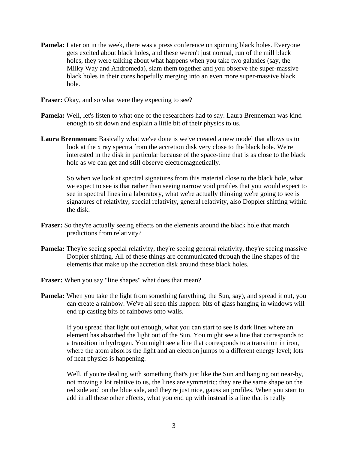- **Pamela:** Later on in the week, there was a press conference on spinning black holes. Everyone gets excited about black holes, and these weren't just normal, run of the mill black holes, they were talking about what happens when you take two galaxies (say, the Milky Way and Andromeda), slam them together and you observe the super-massive black holes in their cores hopefully merging into an even more super-massive black hole.
- **Fraser:** Okay, and so what were they expecting to see?
- **Pamela:** Well, let's listen to what one of the researchers had to say. Laura Brenneman was kind enough to sit down and explain a little bit of their physics to us.
- **Laura Brenneman:** Basically what we've done is we've created a new model that allows us to look at the x ray spectra from the accretion disk very close to the black hole. We're interested in the disk in particular because of the space-time that is as close to the black hole as we can get and still observe electromagnetically.

 So when we look at spectral signatures from this material close to the black hole, what we expect to see is that rather than seeing narrow void profiles that you would expect to see in spectral lines in a laboratory, what we're actually thinking we're going to see is signatures of relativity, special relativity, general relativity, also Doppler shifting within the disk.

- **Fraser:** So they're actually seeing effects on the elements around the black hole that match predictions from relativity?
- **Pamela:** They're seeing special relativity, they're seeing general relativity, they're seeing massive Doppler shifting. All of these things are communicated through the line shapes of the elements that make up the accretion disk around these black holes.
- **Fraser:** When you say "line shapes" what does that mean?
- **Pamela:** When you take the light from something (anything, the Sun, say), and spread it out, you can create a rainbow. We've all seen this happen: bits of glass hanging in windows will end up casting bits of rainbows onto walls.

 If you spread that light out enough, what you can start to see is dark lines where an element has absorbed the light out of the Sun. You might see a line that corresponds to a transition in hydrogen. You might see a line that corresponds to a transition in iron, where the atom absorbs the light and an electron jumps to a different energy level; lots of neat physics is happening.

Well, if you're dealing with something that's just like the Sun and hanging out near-by, not moving a lot relative to us, the lines are symmetric: they are the same shape on the red side and on the blue side, and they're just nice, gaussian profiles. When you start to add in all these other effects, what you end up with instead is a line that is really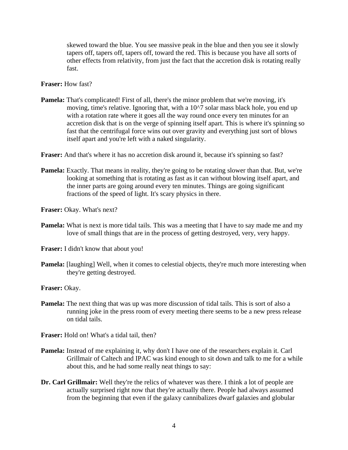skewed toward the blue. You see massive peak in the blue and then you see it slowly tapers off, tapers off, tapers off, toward the red. This is because you have all sorts of other effects from relativity, from just the fact that the accretion disk is rotating really fast.

**Fraser:** How fast?

**Pamela:** That's complicated! First of all, there's the minor problem that we're moving, it's moving, time's relative. Ignoring that, with a 10^7 solar mass black hole, you end up with a rotation rate where it goes all the way round once every ten minutes for an accretion disk that is on the verge of spinning itself apart. This is where it's spinning so fast that the centrifugal force wins out over gravity and everything just sort of blows itself apart and you're left with a naked singularity.

**Fraser:** And that's where it has no accretion disk around it, because it's spinning so fast?

**Pamela:** Exactly. That means in reality, they're going to be rotating slower than that. But, we're looking at something that is rotating as fast as it can without blowing itself apart, and the inner parts are going around every ten minutes. Things are going significant fractions of the speed of light. It's scary physics in there.

**Fraser:** Okay. What's next?

**Pamela:** What is next is more tidal tails. This was a meeting that I have to say made me and my love of small things that are in the process of getting destroyed, very, very happy.

**Fraser:** I didn't know that about you!

**Pamela:** [laughing] Well, when it comes to celestial objects, they're much more interesting when they're getting destroyed.

**Fraser:** Okay.

**Pamela:** The next thing that was up was more discussion of tidal tails. This is sort of also a running joke in the press room of every meeting there seems to be a new press release on tidal tails.

**Fraser:** Hold on! What's a tidal tail, then?

- **Pamela:** Instead of me explaining it, why don't I have one of the researchers explain it. Carl Grillmair of Caltech and IPAC was kind enough to sit down and talk to me for a while about this, and he had some really neat things to say:
- **Dr. Carl Grillmair:** Well they're the relics of whatever was there. I think a lot of people are actually surprised right now that they're actually there. People had always assumed from the beginning that even if the galaxy cannibalizes dwarf galaxies and globular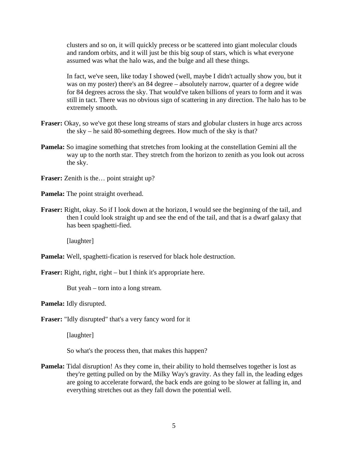clusters and so on, it will quickly precess or be scattered into giant molecular clouds and random orbits, and it will just be this big soup of stars, which is what everyone assumed was what the halo was, and the bulge and all these things.

 In fact, we've seen, like today I showed (well, maybe I didn't actually show you, but it was on my poster) there's an 84 degree – absolutely narrow, quarter of a degree wide for 84 degrees across the sky. That would've taken billions of years to form and it was still in tact. There was no obvious sign of scattering in any direction. The halo has to be extremely smooth.

- **Fraser:** Okay, so we've got these long streams of stars and globular clusters in huge arcs across the sky – he said 80-something degrees. How much of the sky is that?
- **Pamela:** So imagine something that stretches from looking at the constellation Gemini all the way up to the north star. They stretch from the horizon to zenith as you look out across the sky.

**Fraser:** Zenith is the… point straight up?

**Pamela:** The point straight overhead.

**Fraser:** Right, okay. So if I look down at the horizon, I would see the beginning of the tail, and then I could look straight up and see the end of the tail, and that is a dwarf galaxy that has been spaghetti-fied.

[laughter]

**Pamela:** Well, spaghetti-fication is reserved for black hole destruction.

**Fraser:** Right, right, right – but I think it's appropriate here.

But yeah – torn into a long stream.

**Pamela:** Idly disrupted.

**Fraser:** "Idly disrupted" that's a very fancy word for it

[laughter]

So what's the process then, that makes this happen?

**Pamela:** Tidal disruption! As they come in, their ability to hold themselves together is lost as they're getting pulled on by the Milky Way's gravity. As they fall in, the leading edges are going to accelerate forward, the back ends are going to be slower at falling in, and everything stretches out as they fall down the potential well.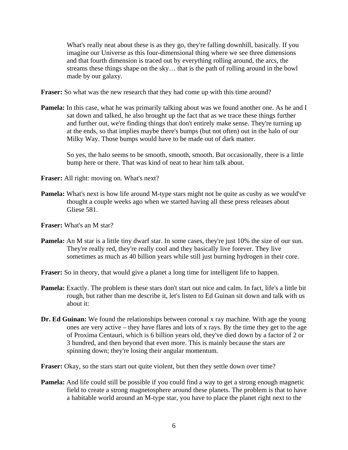What's really neat about these is as they go, they're falling downhill, basically. If you imagine our Universe as this four-dimensional thing where we see three dimensions and that fourth dimension is traced out by everything rolling around, the arcs, the streams these things shape on the sky… that is the path of rolling around in the bowl made by our galaxy.

**Fraser:** So what was the new research that they had come up with this time around?

**Pamela:** In this case, what he was primarily talking about was we found another one. As he and I sat down and talked, he also brought up the fact that as we trace these things further and further out, we're finding things that don't entirely make sense. They're turning up at the ends, so that implies maybe there's bumps (but not often) out in the halo of our Milky Way. Those bumps would have to be made out of dark matter.

 So yes, the halo seems to be smooth, smooth, smooth. But occasionally, there is a little bump here or there. That was kind of neat to hear him talk about.

**Fraser:** All right: moving on. What's next?

**Pamela:** What's next is how life around M-type stars might not be quite as cushy as we would've thought a couple weeks ago when we started having all these press releases about Gliese 581.

**Fraser:** What's an M star?

Pamela: An M star is a little tiny dwarf star. In some cases, they're just 10% the size of our sun. They're really red, they're really cool and they basically live forever. They live sometimes as much as 40 billion years while still just burning hydrogen in their core.

**Fraser:** So in theory, that would give a planet a long time for intelligent life to happen.

- **Pamela:** Exactly. The problem is these stars don't start out nice and calm. In fact, life's a little bit rough, but rather than me describe it, let's listen to Ed Guinan sit down and talk with us about it:
- **Dr. Ed Guinan:** We found the relationships between coronal x ray machine. With age the young ones are very active – they have flares and lots of x rays. By the time they get to the age of Proxima Centauri, which is 6 billion years old, they've died down by a factor of 2 or 3 hundred, and then beyond that even more. This is mainly because the stars are spinning down; they're losing their angular momentum.

Fraser: Okay, so the stars start out quite violent, but then they settle down over time?

**Pamela:** And life could still be possible if you could find a way to get a strong enough magnetic field to create a strong magnetosphere around these planets. The problem is that to have a habitable world around an M-type star, you have to place the planet right next to the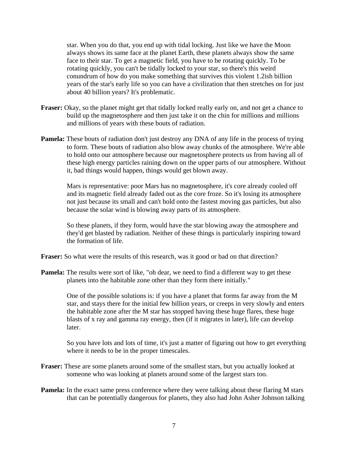star. When you do that, you end up with tidal locking. Just like we have the Moon always shows its same face at the planet Earth, these planets always show the same face to their star. To get a magnetic field, you have to be rotating quickly. To be rotating quickly, you can't be tidally locked to your star, so there's this weird conundrum of how do you make something that survives this violent 1.2ish billion years of the star's early life so you can have a civilization that then stretches on for just about 40 billion years? It's problematic.

- **Fraser:** Okay, so the planet might get that tidally locked really early on, and not get a chance to build up the magnetosphere and then just take it on the chin for millions and millions and millions of years with these bouts of radiation.
- **Pamela:** These bouts of radiation don't just destroy any DNA of any life in the process of trying to form. These bouts of radiation also blow away chunks of the atmosphere. We're able to hold onto our atmosphere because our magnetosphere protects us from having all of these high energy particles raining down on the upper parts of our atmosphere. Without it, bad things would happen, things would get blown away.

 Mars is representative: poor Mars has no magnetosphere, it's core already cooled off and its magnetic field already faded out as the core froze. So it's losing its atmosphere not just because its small and can't hold onto the fastest moving gas particles, but also because the solar wind is blowing away parts of its atmosphere.

 So these planets, if they form, would have the star blowing away the atmosphere and they'd get blasted by radiation. Neither of these things is particularly inspiring toward the formation of life.

**Fraser:** So what were the results of this research, was it good or bad on that direction?

**Pamela:** The results were sort of like, "oh dear, we need to find a different way to get these planets into the habitable zone other than they form there initially."

> One of the possible solutions is: if you have a planet that forms far away from the M star, and stays there for the initial few billion years, or creeps in very slowly and enters the habitable zone after the M star has stopped having these huge flares, these huge blasts of x ray and gamma ray energy, then (if it migrates in later), life can develop later.

> So you have lots and lots of time, it's just a matter of figuring out how to get everything where it needs to be in the proper timescales.

- **Fraser:** These are some planets around some of the smallest stars, but you actually looked at someone who was looking at planets around some of the largest stars too.
- **Pamela:** In the exact same press conference where they were talking about these flaring M stars that can be potentially dangerous for planets, they also had John Asher Johnson talking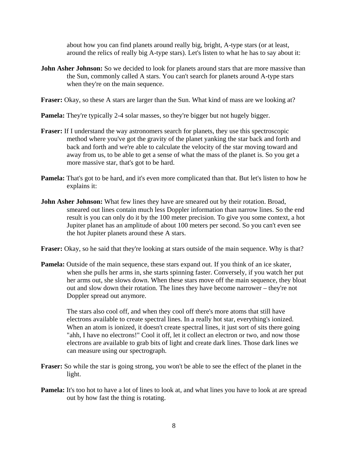about how you can find planets around really big, bright, A-type stars (or at least, around the relics of really big A-type stars). Let's listen to what he has to say about it:

- **John Asher Johnson:** So we decided to look for planets around stars that are more massive than the Sun, commonly called A stars. You can't search for planets around A-type stars when they're on the main sequence.
- **Fraser:** Okay, so these A stars are larger than the Sun. What kind of mass are we looking at?
- **Pamela:** They're typically 2-4 solar masses, so they're bigger but not hugely bigger.
- **Fraser:** If I understand the way astronomers search for planets, they use this spectroscopic method where you've got the gravity of the planet yanking the star back and forth and back and forth and we're able to calculate the velocity of the star moving toward and away from us, to be able to get a sense of what the mass of the planet is. So you get a more massive star, that's got to be hard.
- **Pamela:** That's got to be hard, and it's even more complicated than that. But let's listen to how he explains it:
- **John Asher Johnson:** What few lines they have are smeared out by their rotation. Broad, smeared out lines contain much less Doppler information than narrow lines. So the end result is you can only do it by the 100 meter precision. To give you some context, a hot Jupiter planet has an amplitude of about 100 meters per second. So you can't even see the hot Jupiter planets around these A stars.
- **Fraser:** Okay, so he said that they're looking at stars outside of the main sequence. Why is that?
- **Pamela:** Outside of the main sequence, these stars expand out. If you think of an ice skater, when she pulls her arms in, she starts spinning faster. Conversely, if you watch her put her arms out, she slows down. When these stars move off the main sequence, they bloat out and slow down their rotation. The lines they have become narrower – they're not Doppler spread out anymore.

 The stars also cool off, and when they cool off there's more atoms that still have electrons available to create spectral lines. In a really hot star, everything's ionized. When an atom is ionized, it doesn't create spectral lines, it just sort of sits there going "ahh, I have no electrons!" Cool it off, let it collect an electron or two, and now those electrons are available to grab bits of light and create dark lines. Those dark lines we can measure using our spectrograph.

- **Fraser:** So while the star is going strong, you won't be able to see the effect of the planet in the light.
- **Pamela:** It's too hot to have a lot of lines to look at, and what lines you have to look at are spread out by how fast the thing is rotating.